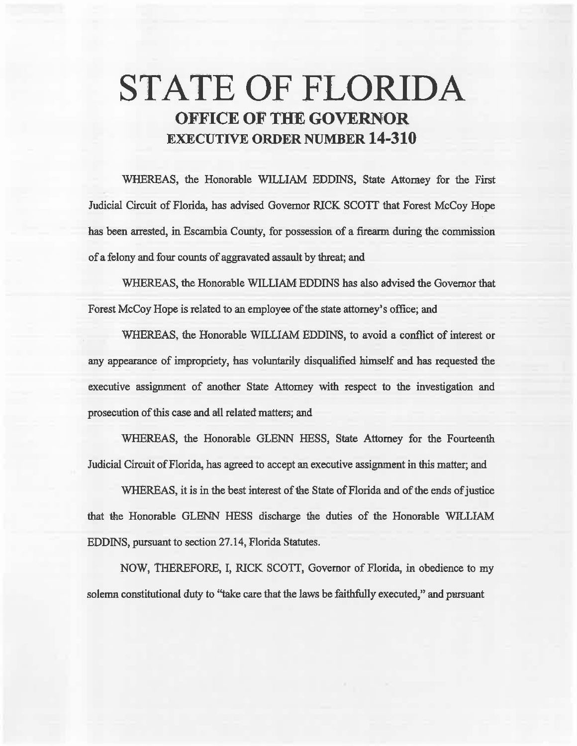# **STATE OF FLORIDA OFFICE OF THE GOVERNOR EXECUTIVE ORDER NUMBER 14-310**

WHEREAS, the Honorable WILLIAM EDDINS, State Attorney for the First Judicial Circuit of Florida, has advised Governor RICK SCOTT that Forest McCoy Hope has been arrested, in Escambia County, for possession of a firearm during the commission. of a felony and fom counts of aggravated assault by threat; and

WHEREAS, the Honorable WILLIAM EDDINS has also advised the Governor that Forest McCoy Hope is related to an employee of the state attorney's office; and

WHEREAS, the Honorable WILLIAM EDDINS, to avoid a conflict of interest or any appearance of impropriety, has voluntarily disqualified himself and has requested the executive assignment of another State Attorney with respect to the investigation. and prosecution of this case and all related matters; and

WHEREAS, the Honorable GLENN HESS, State Attorney for the Fourteenth Judicial Circuit of Florida, has agreed to accept an executive assignment in this matter; and

WHEREAS, it is in the best interest of the State of Florida and of the ends of justice that the Honorable GLENN HESS discharge the duties of the Honorable WILLIAM EDDINS, pursuant to section 27 .14, Florida Statutes.

NOW, THEREFORE, I, RICK SCOTT, Governor of Florida, in obedience to my solemn constitutional duty to "take care that the laws be faithfully executed," and pursuant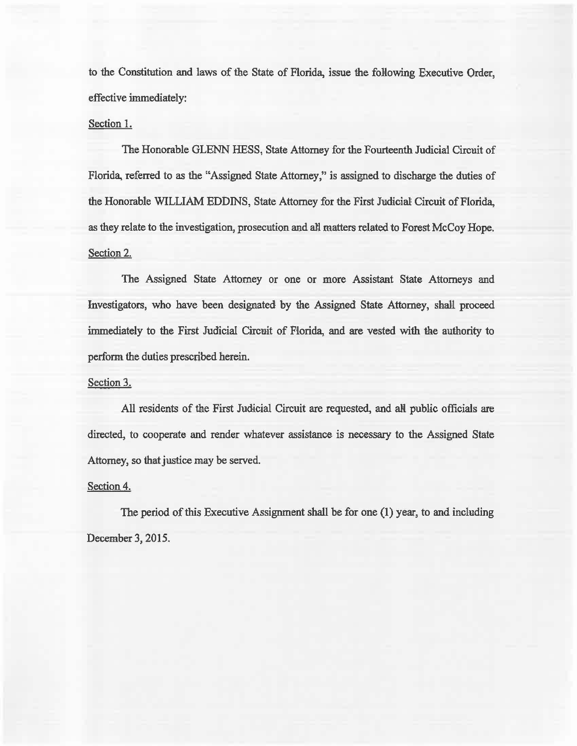to the Constitution and laws of the State of Florida, issue the following Executive Order, effective immediately:

### Section 1.

The Honorable GLENN HESS, State Attorney for the Fourteenth Judicial Circuit of Florida, referred to as the "Assigned State Attorney," is assigned to discharge the duties of the Honorable WILLIAM EDDINS, State Attorney for the First Judicial Circuit of Florida, as they relate to the investigation, prosecution and all matters related to Forest McCoy Hope. Section 2.

The Assigned State Attorney or one or more Assistant State Attorneys and Investigators, who have been designated by the Assigned State Attorney, shalil proceed immediately to the First Judicial Circuit of Florida, and are vested with the authority to perform the duties prescribed herein.

#### Section 3.

All residents of the First Judicial Circuit are requested, and all public officials are directed, to cooperate and render whatever assistance is necessary to the Assigned State Attorney, so that justice may be served.

#### Section 4.

The period of this Executive Assignment shall be for one  $(1)$  year, to and including December 3, 2015.